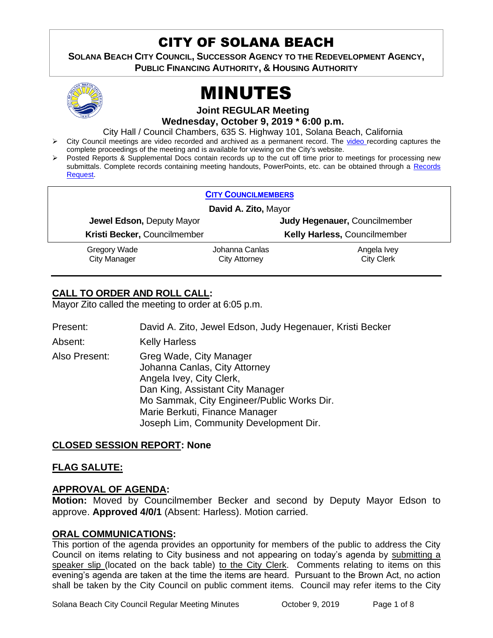# CITY OF SOLANA BEACH

**SOLANA BEACH CITY COUNCIL, SUCCESSOR AGENCY TO THE REDEVELOPMENT AGENCY, PUBLIC FINANCING AUTHORITY, & HOUSING AUTHORITY** 



# MINUTES

**Joint REGULAR Meeting**

**Wednesday, October 9, 2019 \* 6:00 p.m.** 

City Hall / Council Chambers, 635 S. Highway 101, Solana Beach, California

- ➢ City Council meetings are video recorded and archived as a permanent record. The [video r](https://solanabeach.12milesout.com/#page=1)ecording captures the complete proceedings of the meeting and is available for viewing on the City's website.
- Posted Reports & Supplemental Docs contain records up to the cut off time prior to meetings for processing new submittals. Complete records containing meeting handouts, PowerPoints, etc. can be obtained through a Records [Request.](http://www.ci.solana-beach.ca.us/index.asp?SEC=F5D45D10-70CE-4291-A27C-7BD633FC6742&Type=B_BASIC)

| <b>CITY COUNCILMEMBERS</b>             |                                  |  |
|----------------------------------------|----------------------------------|--|
| David A. Zito, Mayor                   |                                  |  |
|                                        | Judy Hegenauer, Councilmember    |  |
|                                        | Kelly Harless, Councilmember     |  |
| Johanna Canlas<br><b>City Attorney</b> | Angela Ivey<br><b>City Clerk</b> |  |
|                                        |                                  |  |

# **CALL TO ORDER AND ROLL CALL:**

Mayor Zito called the meeting to order at 6:05 p.m.

Present: David A. Zito, Jewel Edson, Judy Hegenauer, Kristi Becker Absent: Kelly Harless Also Present: Greg Wade, City Manager Johanna Canlas, City Attorney Angela Ivey, City Clerk, Dan King, Assistant City Manager Mo Sammak, City Engineer/Public Works Dir. Marie Berkuti, Finance Manager Joseph Lim, Community Development Dir.

# **CLOSED SESSION REPORT: None**

# **FLAG SALUTE:**

# **APPROVAL OF AGENDA:**

**Motion:** Moved by Councilmember Becker and second by Deputy Mayor Edson to approve. **Approved 4/0/1** (Absent: Harless). Motion carried.

# **ORAL COMMUNICATIONS:**

This portion of the agenda provides an opportunity for members of the public to address the City Council on items relating to City business and not appearing on today's agenda by submitting a speaker slip (located on the back table) to the City Clerk. Comments relating to items on this evening's agenda are taken at the time the items are heard. Pursuant to the Brown Act, no action shall be taken by the City Council on public comment items. Council may refer items to the City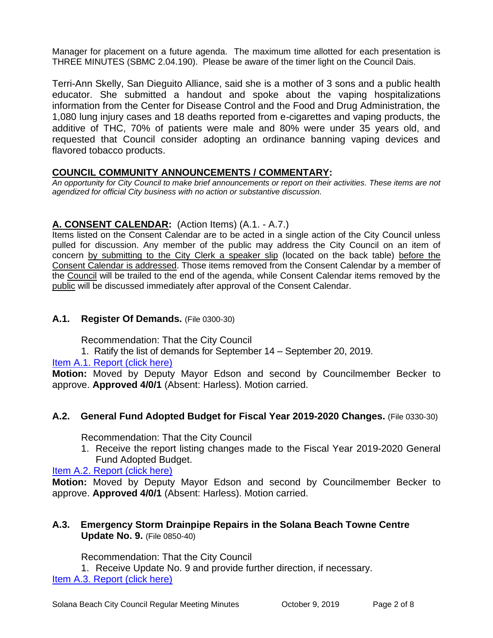Manager for placement on a future agenda. The maximum time allotted for each presentation is THREE MINUTES (SBMC 2.04.190). Please be aware of the timer light on the Council Dais.

Terri-Ann Skelly, San Dieguito Alliance, said she is a mother of 3 sons and a public health educator. She submitted a handout and spoke about the vaping hospitalizations information from the Center for Disease Control and the Food and Drug Administration, the 1,080 lung injury cases and 18 deaths reported from e-cigarettes and vaping products, the additive of THC, 70% of patients were male and 80% were under 35 years old, and requested that Council consider adopting an ordinance banning vaping devices and flavored tobacco products.

# **COUNCIL COMMUNITY ANNOUNCEMENTS / COMMENTARY:**

*An opportunity for City Council to make brief announcements or report on their activities. These items are not agendized for official City business with no action or substantive discussion.* 

# **A. CONSENT CALENDAR:** (Action Items) (A.1. - A.7.)

Items listed on the Consent Calendar are to be acted in a single action of the City Council unless pulled for discussion. Any member of the public may address the City Council on an item of concern by submitting to the City Clerk a speaker slip (located on the back table) before the Consent Calendar is addressed. Those items removed from the Consent Calendar by a member of the Council will be trailed to the end of the agenda, while Consent Calendar items removed by the public will be discussed immediately after approval of the Consent Calendar.

# **A.1. Register Of Demands.** (File 0300-30)

Recommendation: That the City Council

1. Ratify the list of demands for September 14 – September 20, 2019.

# [Item A.1. Report \(click here\)](https://solanabeach.govoffice3.com/vertical/Sites/%7B840804C2-F869-4904-9AE3-720581350CE7%7D/uploads/Item_A.1._Report_(click_here)_10-09-19_-_O.pdf)

**Motion:** Moved by Deputy Mayor Edson and second by Councilmember Becker to approve. **Approved 4/0/1** (Absent: Harless). Motion carried.

# **A.2. General Fund Adopted Budget for Fiscal Year 2019-2020 Changes.** (File 0330-30)

Recommendation: That the City Council

1. Receive the report listing changes made to the Fiscal Year 2019-2020 General Fund Adopted Budget.

# [Item A.2. Report \(click here\)](https://solanabeach.govoffice3.com/vertical/Sites/%7B840804C2-F869-4904-9AE3-720581350CE7%7D/uploads/Item_A.2._Report_(click_here)_10-09-19_-_O.pdf)

**Motion:** Moved by Deputy Mayor Edson and second by Councilmember Becker to approve. **Approved 4/0/1** (Absent: Harless). Motion carried.

# **A.3. Emergency Storm Drainpipe Repairs in the Solana Beach Towne Centre Update No. 9.** (File 0850-40)

Recommendation: That the City Council

1. Receive Update No. 9 and provide further direction, if necessary.

[Item A.3. Report \(click here\)](https://solanabeach.govoffice3.com/vertical/Sites/%7B840804C2-F869-4904-9AE3-720581350CE7%7D/uploads/Item_A.3._Report_(click_here)_10-09-19_-_O.pdf)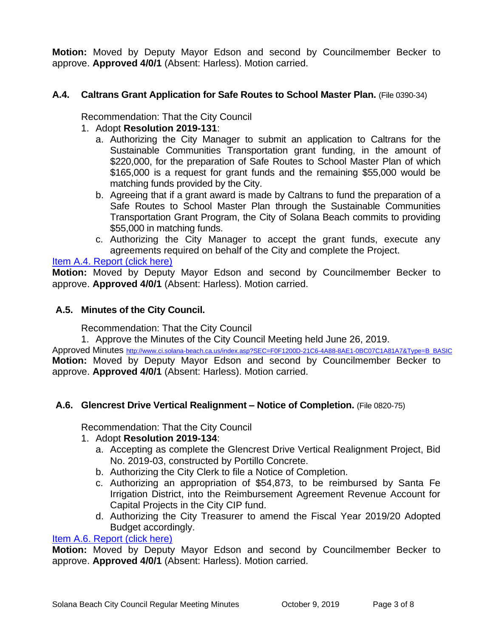**Motion:** Moved by Deputy Mayor Edson and second by Councilmember Becker to approve. **Approved 4/0/1** (Absent: Harless). Motion carried.

# **A.4. Caltrans Grant Application for Safe Routes to School Master Plan.** (File 0390-34)

Recommendation: That the City Council

- 1. Adopt **Resolution 2019-131**:
	- a. Authorizing the City Manager to submit an application to Caltrans for the Sustainable Communities Transportation grant funding, in the amount of \$220,000, for the preparation of Safe Routes to School Master Plan of which \$165,000 is a request for grant funds and the remaining \$55,000 would be matching funds provided by the City.
	- b. Agreeing that if a grant award is made by Caltrans to fund the preparation of a Safe Routes to School Master Plan through the Sustainable Communities Transportation Grant Program, the City of Solana Beach commits to providing \$55,000 in matching funds.
	- c. Authorizing the City Manager to accept the grant funds, execute any agreements required on behalf of the City and complete the Project.

# [Item A.4. Report \(click here\)](https://solanabeach.govoffice3.com/vertical/Sites/%7B840804C2-F869-4904-9AE3-720581350CE7%7D/uploads/Item_A.4._Report_(click_here)_10-09-19_-_O.pdf)

**Motion:** Moved by Deputy Mayor Edson and second by Councilmember Becker to approve. **Approved 4/0/1** (Absent: Harless). Motion carried.

# **A.5. Minutes of the City Council.**

Recommendation: That the City Council

1. Approve the Minutes of the City Council Meeting held June 26, 2019.

Approved Minutes [http://www.ci.solana-beach.ca.us/index.asp?SEC=F0F1200D-21C6-4A88-8AE1-0BC07C1A81A7&Type=B\\_BASIC](http://www.ci.solana-beach.ca.us/index.asp?SEC=F0F1200D-21C6-4A88-8AE1-0BC07C1A81A7&Type=B_BASIC) **Motion:** Moved by Deputy Mayor Edson and second by Councilmember Becker to approve. **Approved 4/0/1** (Absent: Harless). Motion carried.

# **A.6. Glencrest Drive Vertical Realignment – Notice of Completion.** (File 0820-75)

Recommendation: That the City Council

# 1. Adopt **Resolution 2019-134**:

- a. Accepting as complete the Glencrest Drive Vertical Realignment Project, Bid No. 2019-03, constructed by Portillo Concrete.
- b. Authorizing the City Clerk to file a Notice of Completion.
- c. Authorizing an appropriation of \$54,873, to be reimbursed by Santa Fe Irrigation District, into the Reimbursement Agreement Revenue Account for Capital Projects in the City CIP fund.
- d. Authorizing the City Treasurer to amend the Fiscal Year 2019/20 Adopted Budget accordingly.

# [Item A.6. Report \(click here\)](https://solanabeach.govoffice3.com/vertical/Sites/%7B840804C2-F869-4904-9AE3-720581350CE7%7D/uploads/Item_A.6._Report_(click_here)_10-09-19_-_O.pdf)

**Motion:** Moved by Deputy Mayor Edson and second by Councilmember Becker to approve. **Approved 4/0/1** (Absent: Harless). Motion carried.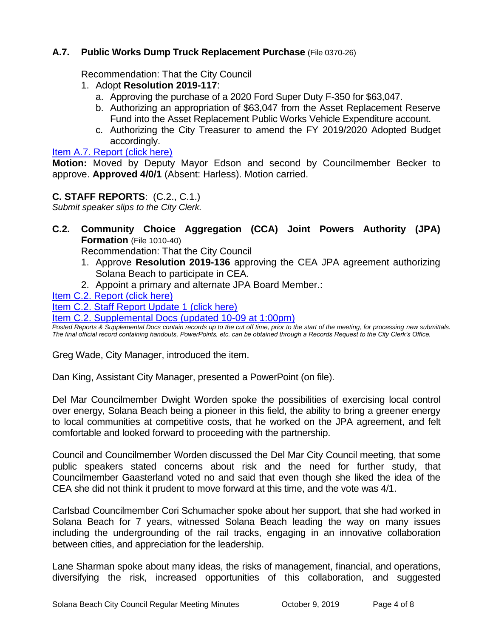# **A.7. Public Works Dump Truck Replacement Purchase** (File 0370-26)

Recommendation: That the City Council

- 1. Adopt **Resolution 2019-117**:
	- a. Approving the purchase of a 2020 Ford Super Duty F-350 for \$63,047.
	- b. Authorizing an appropriation of \$63,047 from the Asset Replacement Reserve Fund into the Asset Replacement Public Works Vehicle Expenditure account.
	- c. Authorizing the City Treasurer to amend the FY 2019/2020 Adopted Budget accordingly.

# [Item A.7. Report \(click here\)](https://solanabeach.govoffice3.com/vertical/Sites/%7B840804C2-F869-4904-9AE3-720581350CE7%7D/uploads/Item_A.7._Report_(click_here)_10-09-19_-_O.pdf)

**Motion:** Moved by Deputy Mayor Edson and second by Councilmember Becker to approve. **Approved 4/0/1** (Absent: Harless). Motion carried.

# **C. STAFF REPORTS**: (C.2., C.1.)

*Submit speaker slips to the City Clerk.*

**C.2. Community Choice Aggregation (CCA) Joint Powers Authority (JPA) Formation** (File 1010-40)

Recommendation: That the City Council

- 1. Approve **Resolution 2019-136** approving the CEA JPA agreement authorizing Solana Beach to participate in CEA.
- 2. Appoint a primary and alternate JPA Board Member.:
- [Item C.2. Report \(click here\)](https://solanabeach.govoffice3.com/vertical/Sites/%7B840804C2-F869-4904-9AE3-720581350CE7%7D/uploads/Item_C.2._Report_(click_here)_10-09-19_-_O.pdf)

[Item C.2. Staff Report Update 1 \(click here\)](https://solanabeach.govoffice3.com/vertical/Sites/%7B840804C2-F869-4904-9AE3-720581350CE7%7D/uploads/C.2._SR_Update_1-_CCA_JPA_Blue_Folder-O.pdf)

[Item C.2. Supplemental Docs \(updated 10-09 at 1:00pm\)](https://solanabeach.govoffice3.com/vertical/Sites/%7B840804C2-F869-4904-9AE3-720581350CE7%7D/uploads/Item_C.2._Supplemental_Docs_(10-9_at_1pm).pdf)

*Posted Reports & Supplemental Docs contain records up to the cut off time, prior to the start of the meeting, for processing new submittals. The final official record containing handouts, PowerPoints, etc. can be obtained through a Records Request to the City Clerk's Office.*

Greg Wade, City Manager, introduced the item.

Dan King, Assistant City Manager, presented a PowerPoint (on file).

Del Mar Councilmember Dwight Worden spoke the possibilities of exercising local control over energy, Solana Beach being a pioneer in this field, the ability to bring a greener energy to local communities at competitive costs, that he worked on the JPA agreement, and felt comfortable and looked forward to proceeding with the partnership.

Council and Councilmember Worden discussed the Del Mar City Council meeting, that some public speakers stated concerns about risk and the need for further study, that Councilmember Gaasterland voted no and said that even though she liked the idea of the CEA she did not think it prudent to move forward at this time, and the vote was 4/1.

Carlsbad Councilmember Cori Schumacher spoke about her support, that she had worked in Solana Beach for 7 years, witnessed Solana Beach leading the way on many issues including the undergrounding of the rail tracks, engaging in an innovative collaboration between cities, and appreciation for the leadership.

Lane Sharman spoke about many ideas, the risks of management, financial, and operations, diversifying the risk, increased opportunities of this collaboration, and suggested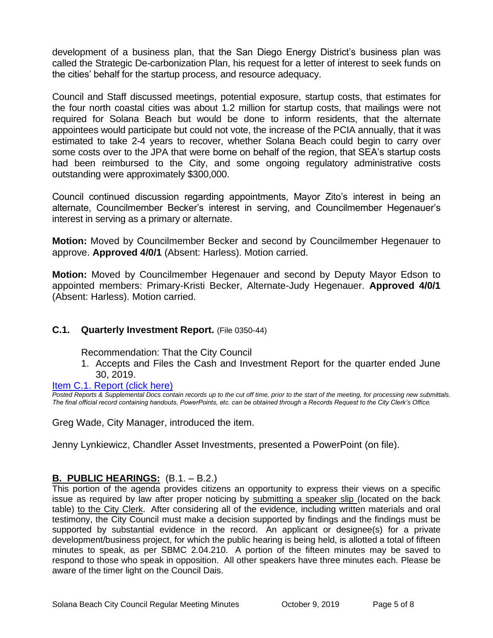development of a business plan, that the San Diego Energy District's business plan was called the Strategic De-carbonization Plan, his request for a letter of interest to seek funds on the cities' behalf for the startup process, and resource adequacy.

Council and Staff discussed meetings, potential exposure, startup costs, that estimates for the four north coastal cities was about 1.2 million for startup costs, that mailings were not required for Solana Beach but would be done to inform residents, that the alternate appointees would participate but could not vote, the increase of the PCIA annually, that it was estimated to take 2-4 years to recover, whether Solana Beach could begin to carry over some costs over to the JPA that were borne on behalf of the region, that SEA's startup costs had been reimbursed to the City, and some ongoing regulatory administrative costs outstanding were approximately \$300,000.

Council continued discussion regarding appointments, Mayor Zito's interest in being an alternate, Councilmember Becker's interest in serving, and Councilmember Hegenauer's interest in serving as a primary or alternate.

**Motion:** Moved by Councilmember Becker and second by Councilmember Hegenauer to approve. **Approved 4/0/1** (Absent: Harless). Motion carried.

**Motion:** Moved by Councilmember Hegenauer and second by Deputy Mayor Edson to appointed members: Primary-Kristi Becker, Alternate-Judy Hegenauer. **Approved 4/0/1**  (Absent: Harless). Motion carried.

# **C.1. Quarterly Investment Report.** (File 0350-44)

Recommendation: That the City Council

1. Accepts and Files the Cash and Investment Report for the quarter ended June 30, 2019.

#### [Item C.1. Report \(click here\)](https://solanabeach.govoffice3.com/vertical/Sites/%7B840804C2-F869-4904-9AE3-720581350CE7%7D/uploads/Item_C.1._Report_(click_here)_10-09-19_-_O.pdf)

*Posted Reports & Supplemental Docs contain records up to the cut off time, prior to the start of the meeting, for processing new submittals. The final official record containing handouts, PowerPoints, etc. can be obtained through a Records Request to the City Clerk's Office.*

Greg Wade, City Manager, introduced the item.

Jenny Lynkiewicz, Chandler Asset Investments, presented a PowerPoint (on file).

# **B. PUBLIC HEARINGS:** (B.1. – B.2.)

This portion of the agenda provides citizens an opportunity to express their views on a specific issue as required by law after proper noticing by submitting a speaker slip (located on the back table) to the City Clerk. After considering all of the evidence, including written materials and oral testimony, the City Council must make a decision supported by findings and the findings must be supported by substantial evidence in the record. An applicant or designee(s) for a private development/business project, for which the public hearing is being held, is allotted a total of fifteen minutes to speak, as per SBMC 2.04.210. A portion of the fifteen minutes may be saved to respond to those who speak in opposition. All other speakers have three minutes each. Please be aware of the timer light on the Council Dais.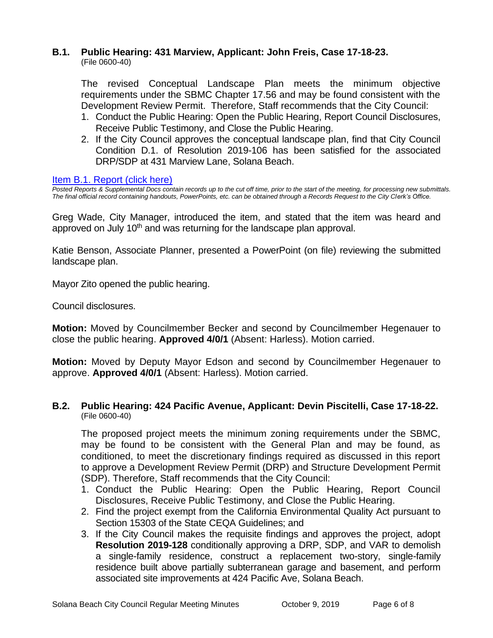# **B.1. Public Hearing: 431 Marview, Applicant: John Freis, Case 17-18-23.**

(File 0600-40)

The revised Conceptual Landscape Plan meets the minimum objective requirements under the SBMC Chapter 17.56 and may be found consistent with the Development Review Permit. Therefore, Staff recommends that the City Council:

- 1. Conduct the Public Hearing: Open the Public Hearing, Report Council Disclosures, Receive Public Testimony, and Close the Public Hearing.
- 2. If the City Council approves the conceptual landscape plan, find that City Council Condition D.1. of Resolution 2019-106 has been satisfied for the associated DRP/SDP at 431 Marview Lane, Solana Beach.

# [Item B.1. Report \(click here\)](https://solanabeach.govoffice3.com/vertical/Sites/%7B840804C2-F869-4904-9AE3-720581350CE7%7D/uploads/Item_B.1._Report_(click_here)_10-09-19_-_O.pdf)

*Posted Reports & Supplemental Docs contain records up to the cut off time, prior to the start of the meeting, for processing new submittals. The final official record containing handouts, PowerPoints, etc. can be obtained through a Records Request to the City Clerk's Office.*

Greg Wade, City Manager, introduced the item, and stated that the item was heard and approved on July 10<sup>th</sup> and was returning for the landscape plan approval.

Katie Benson, Associate Planner, presented a PowerPoint (on file) reviewing the submitted landscape plan.

Mayor Zito opened the public hearing.

Council disclosures.

**Motion:** Moved by Councilmember Becker and second by Councilmember Hegenauer to close the public hearing. **Approved 4/0/1** (Absent: Harless). Motion carried.

**Motion:** Moved by Deputy Mayor Edson and second by Councilmember Hegenauer to approve. **Approved 4/0/1** (Absent: Harless). Motion carried.

#### **B.2. Public Hearing: 424 Pacific Avenue, Applicant: Devin Piscitelli, Case 17-18-22.** (File 0600-40)

The proposed project meets the minimum zoning requirements under the SBMC, may be found to be consistent with the General Plan and may be found, as conditioned, to meet the discretionary findings required as discussed in this report to approve a Development Review Permit (DRP) and Structure Development Permit (SDP). Therefore, Staff recommends that the City Council:

- 1. Conduct the Public Hearing: Open the Public Hearing, Report Council Disclosures, Receive Public Testimony, and Close the Public Hearing.
- 2. Find the project exempt from the California Environmental Quality Act pursuant to Section 15303 of the State CEQA Guidelines; and
- 3. If the City Council makes the requisite findings and approves the project, adopt **Resolution 2019-128** conditionally approving a DRP, SDP, and VAR to demolish a single-family residence, construct a replacement two-story, single-family residence built above partially subterranean garage and basement, and perform associated site improvements at 424 Pacific Ave, Solana Beach.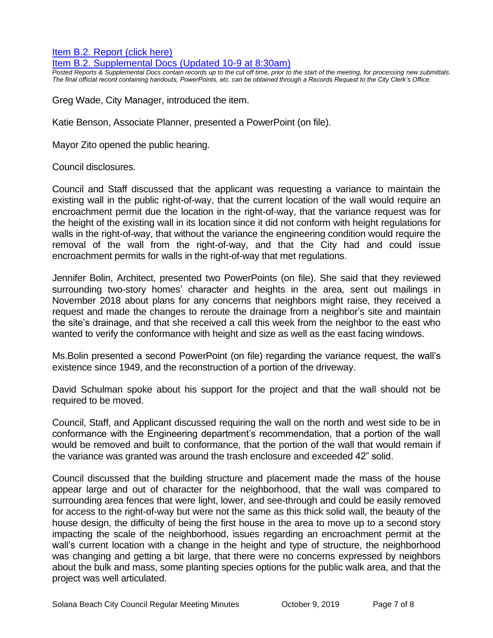[Item B.2. Report \(click here\)](https://solanabeach.govoffice3.com/vertical/Sites/%7B840804C2-F869-4904-9AE3-720581350CE7%7D/uploads/Item_B.2._Report_(click_here)_10-09-19_-_O.pdf)

[Item B.2. Supplemental Docs \(Updated 10-9 at 8:30am\)](https://solanabeach.govoffice3.com/vertical/Sites/%7B840804C2-F869-4904-9AE3-720581350CE7%7D/uploads/Item_B.2._Supplemental_Docs_(10-9_at_8am)_-_O.pdf)

*Posted Reports & Supplemental Docs contain records up to the cut off time, prior to the start of the meeting, for processing new submittals. The final official record containing handouts, PowerPoints, etc. can be obtained through a Records Request to the City Clerk's Office.*

Greg Wade, City Manager, introduced the item.

Katie Benson, Associate Planner, presented a PowerPoint (on file).

Mayor Zito opened the public hearing.

Council disclosures.

Council and Staff discussed that the applicant was requesting a variance to maintain the existing wall in the public right-of-way, that the current location of the wall would require an encroachment permit due the location in the right-of-way, that the variance request was for the height of the existing wall in its location since it did not conform with height regulations for walls in the right-of-way, that without the variance the engineering condition would require the removal of the wall from the right-of-way, and that the City had and could issue encroachment permits for walls in the right-of-way that met regulations.

Jennifer Bolin, Architect, presented two PowerPoints (on file). She said that they reviewed surrounding two-story homes' character and heights in the area, sent out mailings in November 2018 about plans for any concerns that neighbors might raise, they received a request and made the changes to reroute the drainage from a neighbor's site and maintain the site's drainage, and that she received a call this week from the neighbor to the east who wanted to verify the conformance with height and size as well as the east facing windows.

Ms.Bolin presented a second PowerPoint (on file) regarding the variance request, the wall's existence since 1949, and the reconstruction of a portion of the driveway.

David Schulman spoke about his support for the project and that the wall should not be required to be moved.

Council, Staff, and Applicant discussed requiring the wall on the north and west side to be in conformance with the Engineering department's recommendation, that a portion of the wall would be removed and built to conformance, that the portion of the wall that would remain if the variance was granted was around the trash enclosure and exceeded 42" solid.

Council discussed that the building structure and placement made the mass of the house appear large and out of character for the neighborhood, that the wall was compared to surrounding area fences that were light, lower, and see-through and could be easily removed for access to the right-of-way but were not the same as this thick solid wall, the beauty of the house design, the difficulty of being the first house in the area to move up to a second story impacting the scale of the neighborhood, issues regarding an encroachment permit at the wall's current location with a change in the height and type of structure, the neighborhood was changing and getting a bit large, that there were no concerns expressed by neighbors about the bulk and mass, some planting species options for the public walk area, and that the project was well articulated.